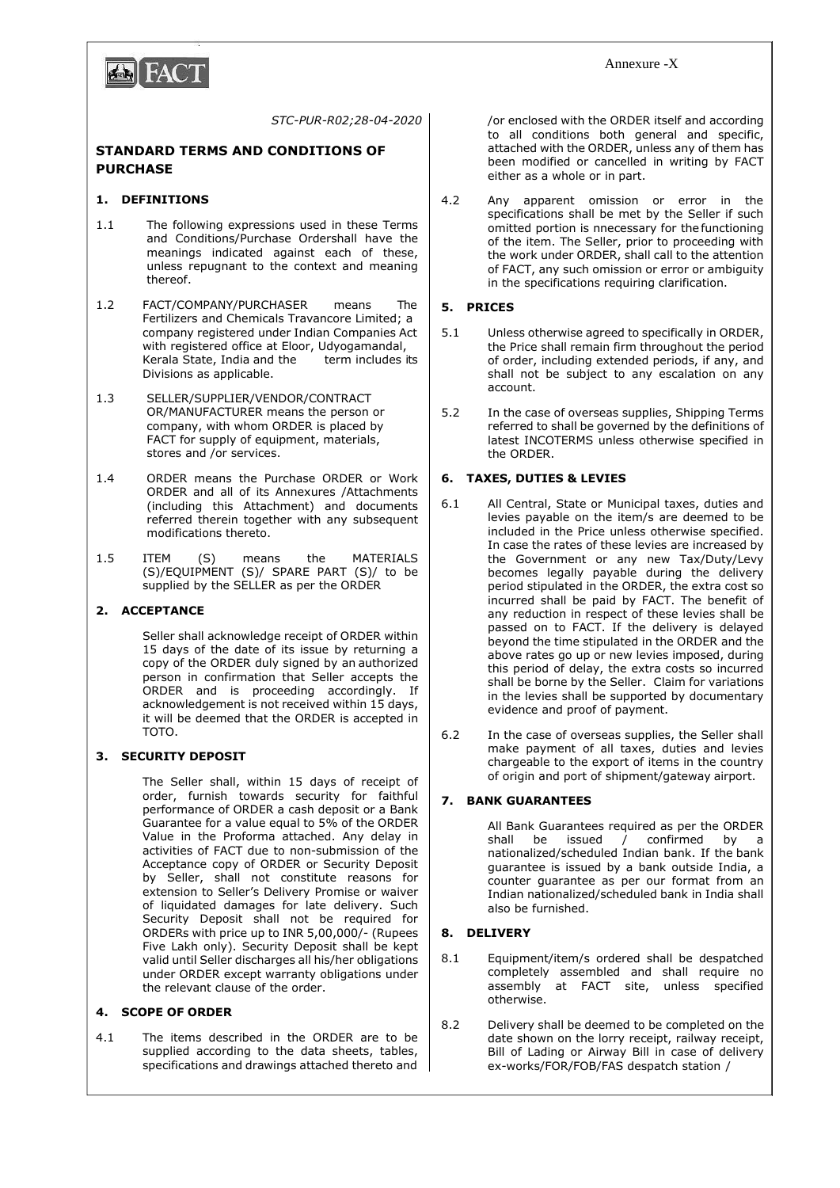

*STC-PUR-R02;28-04-2020*

## **STANDARD TERMS AND CONDITIONS OF PURCHASE**

### **1. DEFINITIONS**

- 1.1 The following expressions used in these Terms and Conditions/Purchase Ordershall have the meanings indicated against each of these, unless repugnant to the context and meaning thereof.
- 1.2 FACT/COMPANY/PURCHASER means The Fertilizers and Chemicals Travancore Limited; a company registered under Indian Companies Act with registered office at Eloor, Udyogamandal, Kerala State, India and the term includes its Divisions as applicable.
- 1.3 SELLER/SUPPLIER/VENDOR/CONTRACT OR/MANUFACTURER means the person or company, with whom ORDER is placed by FACT for supply of equipment, materials, stores and /or services.
- 1.4 ORDER means the Purchase ORDER or Work ORDER and all of its Annexures /Attachments (including this Attachment) and documents referred therein together with any subsequent modifications thereto.
- 1.5 ITEM (S) means the MATERIALS (S)/EQUIPMENT (S)/ SPARE PART (S)/ to be supplied by the SELLER as per the ORDER

## **2. ACCEPTANCE**

Seller shall acknowledge receipt of ORDER within 15 days of the date of its issue by returning a copy of the ORDER duly signed by an authorized person in confirmation that Seller accepts the ORDER and is proceeding accordingly. If acknowledgement is not received within 15 days, it will be deemed that the ORDER is accepted in TOTO.

## **3. SECURITY DEPOSIT**

The Seller shall, within 15 days of receipt of order, furnish towards security for faithful performance of ORDER a cash deposit or a Bank Guarantee for a value equal to 5% of the ORDER Value in the Proforma attached. Any delay in activities of FACT due to non-submission of the Acceptance copy of ORDER or Security Deposit by Seller, shall not constitute reasons for extension to Seller's Delivery Promise or waiver of liquidated damages for late delivery. Such Security Deposit shall not be required for ORDERs with price up to INR 5,00,000/- (Rupees Five Lakh only). Security Deposit shall be kept valid until Seller discharges all his/her obligations under ORDER except warranty obligations under the relevant clause of the order.

## **4. SCOPE OF ORDER**

4.1 The items described in the ORDER are to be supplied according to the data sheets, tables, specifications and drawings attached thereto and /or enclosed with the ORDER itself and according to all conditions both general and specific, attached with the ORDER, unless any of them has been modified or cancelled in writing by FACT either as a whole or in part.

4.2 Any apparent omission or error in the specifications shall be met by the Seller if such omitted portion is nnecessary for the functioning of the item. The Seller, prior to proceeding with the work under ORDER, shall call to the attention of FACT, any such omission or error or ambiguity in the specifications requiring clarification.

### **5. PRICES**

- 5.1 Unless otherwise agreed to specifically in ORDER, the Price shall remain firm throughout the period of order, including extended periods, if any, and shall not be subject to any escalation on any account.
- 5.2 In the case of overseas supplies, Shipping Terms referred to shall be governed by the definitions of latest INCOTERMS unless otherwise specified in the ORDER.

### **6. TAXES, DUTIES & LEVIES**

- 6.1 All Central, State or Municipal taxes, duties and levies payable on the item/s are deemed to be included in the Price unless otherwise specified. In case the rates of these levies are increased by the Government or any new Tax/Duty/Levy becomes legally payable during the delivery period stipulated in the ORDER, the extra cost so incurred shall be paid by FACT. The benefit of any reduction in respect of these levies shall be passed on to FACT. If the delivery is delayed beyond the time stipulated in the ORDER and the above rates go up or new levies imposed, during this period of delay, the extra costs so incurred shall be borne by the Seller. Claim for variations in the levies shall be supported by documentary evidence and proof of payment.
- 6.2 In the case of overseas supplies, the Seller shall make payment of all taxes, duties and levies chargeable to the export of items in the country of origin and port of shipment/gateway airport.

## **7. BANK GUARANTEES**

All Bank Guarantees required as per the ORDER<br>shall be issued / confirmed by a  $\sqrt{ }$  confirmed by a nationalized/scheduled Indian bank. If the bank guarantee is issued by a bank outside India, a counter guarantee as per our format from an Indian nationalized/scheduled bank in India shall also be furnished.

## **8. DELIVERY**

- 8.1 Equipment/item/s ordered shall be despatched completely assembled and shall require no assembly at FACT site, unless specified otherwise.
- 8.2 Delivery shall be deemed to be completed on the date shown on the lorry receipt, railway receipt, Bill of Lading or Airway Bill in case of delivery ex-works/FOR/FOB/FAS despatch station /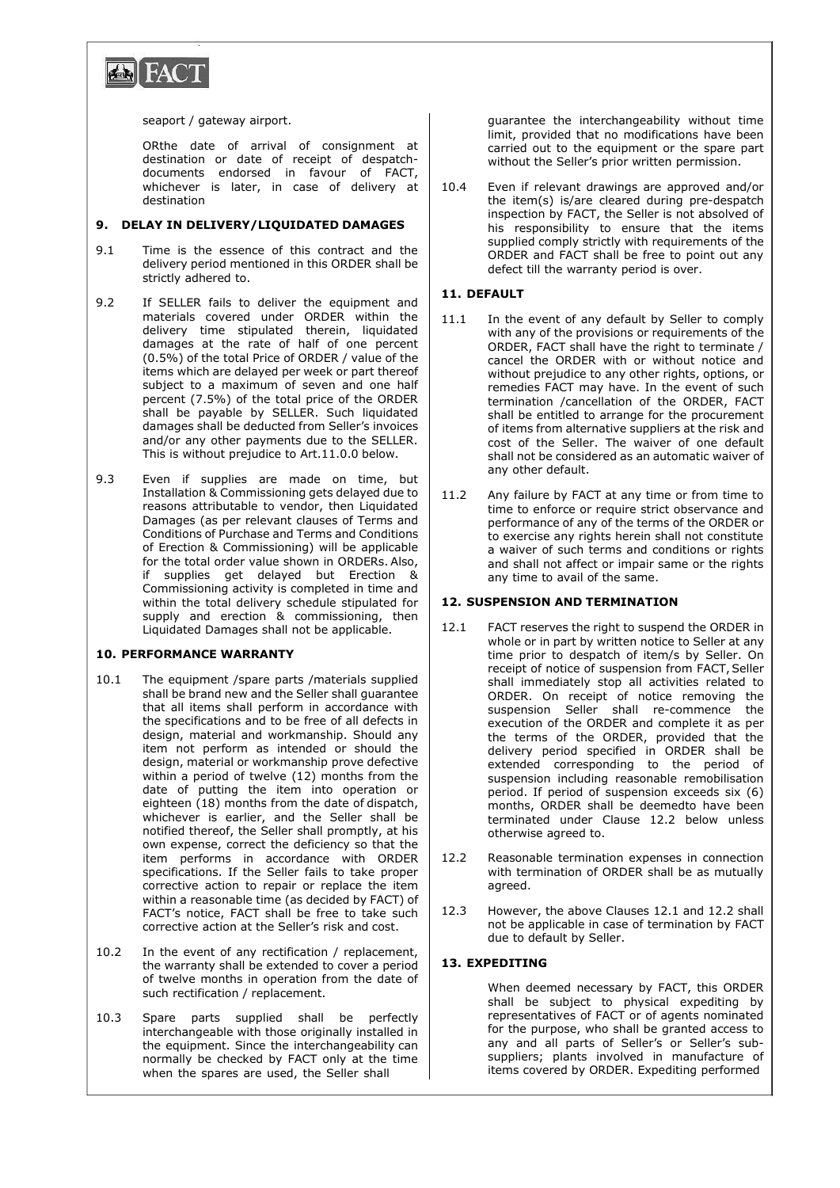

#### seaport / gateway airport.

ORthe date of arrival of consignment at destination or date of receipt of despatchdocuments endorsed in favour of FACT, whichever is later, in case of delivery at destination

#### **9. DELAY IN DELIVERY/LIQUIDATED DAMAGES**

- 9.1 Time is the essence of this contract and the delivery period mentioned in this ORDER shall be strictly adhered to.
- 9.2 If SELLER fails to deliver the equipment and materials covered under ORDER within the delivery time stipulated therein, liquidated damages at the rate of half of one percent (0.5%) of the total Price of ORDER / value of the items which are delayed per week or part thereof subject to a maximum of seven and one half percent (7.5%) of the total price of the ORDER shall be payable by SELLER. Such liquidated damages shall be deducted from Seller's invoices and/or any other payments due to the SELLER. This is without prejudice to Art.11.0.0 below.
- 9.3 Even if supplies are made on time, but Installation & Commissioning gets delayed due to reasons attributable to vendor, then Liquidated Damages (as per relevant clauses of Terms and Conditions of Purchase and Terms and Conditions of Erection & Commissioning) will be applicable for the total order value shown in ORDERs. Also, if supplies get delayed but Erection & Commissioning activity is completed in time and within the total delivery schedule stipulated for supply and erection & commissioning, then Liquidated Damages shall not be applicable.

#### **10. PERFORMANCE WARRANTY**

- 10.1 The equipment /spare parts /materials supplied shall be brand new and the Seller shall guarantee that all items shall perform in accordance with the specifications and to be free of all defects in design, material and workmanship. Should any item not perform as intended or should the design, material or workmanship prove defective within a period of twelve (12) months from the date of putting the item into operation or eighteen (18) months from the date of dispatch, whichever is earlier, and the Seller shall be notified thereof, the Seller shall promptly, at his own expense, correct the deficiency so that the item performs in accordance with ORDER specifications. If the Seller fails to take proper corrective action to repair or replace the item within a reasonable time (as decided by FACT) of FACT's notice, FACT shall be free to take such corrective action at the Seller's risk and cost.
- 10.2 In the event of any rectification / replacement, the warranty shall be extended to cover a period of twelve months in operation from the date of such rectification / replacement.
- 10.3 Spare parts supplied shall be perfectly interchangeable with those originally installed in the equipment. Since the interchangeability can normally be checked by FACT only at the time when the spares are used, the Seller shall

guarantee the interchangeability without time limit, provided that no modifications have been carried out to the equipment or the spare part without the Seller's prior written permission.

10.4 Even if relevant drawings are approved and/or the item(s) is/are cleared during pre-despatch inspection by FACT, the Seller is not absolved of his responsibility to ensure that the items supplied comply strictly with requirements of the ORDER and FACT shall be free to point out any defect till the warranty period is over.

#### **11. DEFAULT**

- 11.1 In the event of any default by Seller to comply with any of the provisions or requirements of the ORDER, FACT shall have the right to terminate / cancel the ORDER with or without notice and without prejudice to any other rights, options, or remedies FACT may have. In the event of such termination /cancellation of the ORDER, FACT shall be entitled to arrange for the procurement of items from alternative suppliers at the risk and cost of the Seller. The waiver of one default shall not be considered as an automatic waiver of any other default.
- 11.2 Any failure by FACT at any time or from time to time to enforce or require strict observance and performance of any of the terms of the ORDER or to exercise any rights herein shall not constitute a waiver of such terms and conditions or rights and shall not affect or impair same or the rights any time to avail of the same.

#### **12. SUSPENSION AND TERMINATION**

- 12.1 FACT reserves the right to suspend the ORDER in whole or in part by written notice to Seller at any time prior to despatch of item/s by Seller. On receipt of notice of suspension from FACT, Seller shall immediately stop all activities related to ORDER. On receipt of notice removing the suspension Seller shall re-commence the execution of the ORDER and complete it as per the terms of the ORDER, provided that the delivery period specified in ORDER shall be extended corresponding to the period of suspension including reasonable remobilisation period. If period of suspension exceeds six (6) months, ORDER shall be deemedto have been terminated under Clause 12.2 below unless otherwise agreed to.
- 12.2 Reasonable termination expenses in connection with termination of ORDER shall be as mutually agreed.
- 12.3 However, the above Clauses 12.1 and 12.2 shall not be applicable in case of termination by FACT due to default by Seller.

#### **13. EXPEDITING**

When deemed necessary by FACT, this ORDER shall be subject to physical expediting by representatives of FACT or of agents nominated for the purpose, who shall be granted access to any and all parts of Seller's or Seller's subsuppliers; plants involved in manufacture of items covered by ORDER. Expediting performed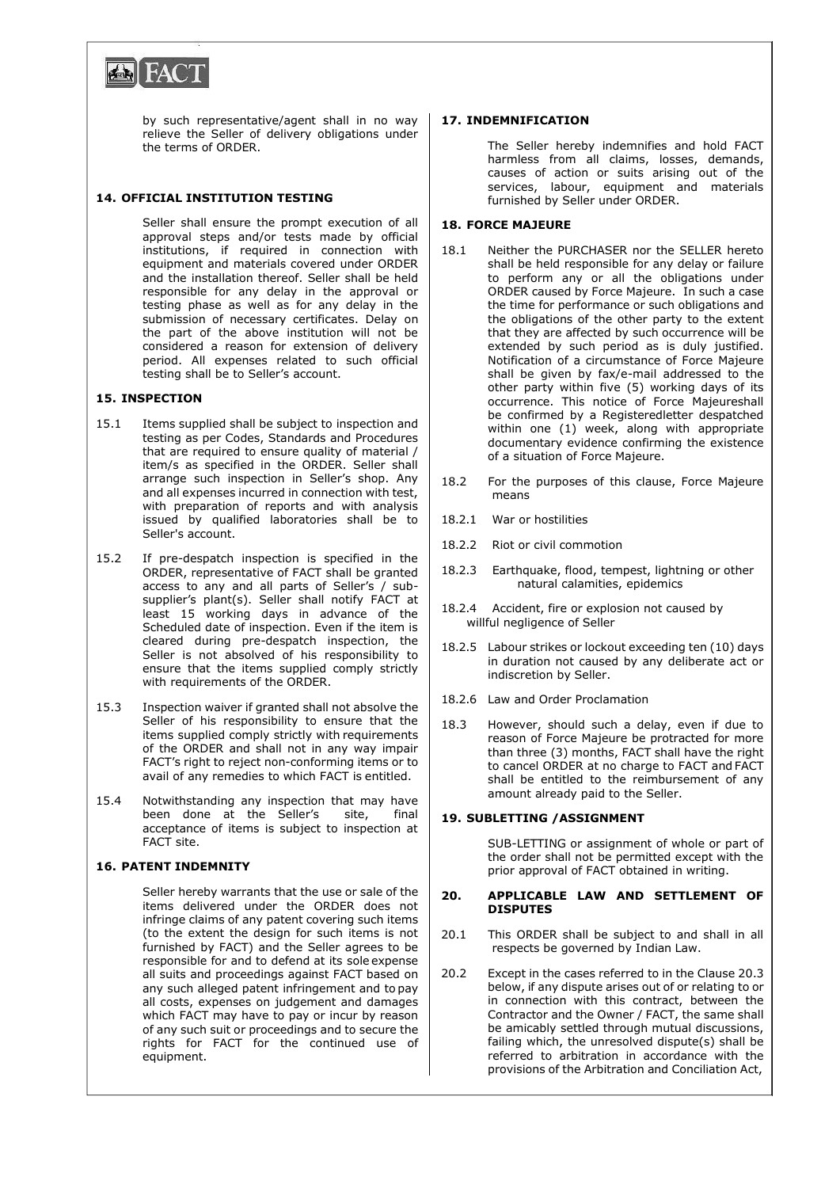

by such representative/agent shall in no way relieve the Seller of delivery obligations under the terms of ORDER.

## **14. OFFICIAL INSTITUTION TESTING**

Seller shall ensure the prompt execution of all approval steps and/or tests made by official institutions, if required in connection with equipment and materials covered under ORDER and the installation thereof. Seller shall be held responsible for any delay in the approval or testing phase as well as for any delay in the submission of necessary certificates. Delay on the part of the above institution will not be considered a reason for extension of delivery period. All expenses related to such official testing shall be to Seller's account.

#### **15. INSPECTION**

- 15.1 Items supplied shall be subject to inspection and testing as per Codes, Standards and Procedures that are required to ensure quality of material / item/s as specified in the ORDER. Seller shall arrange such inspection in Seller's shop. Any and all expenses incurred in connection with test, with preparation of reports and with analysis issued by qualified laboratories shall be to Seller's account.
- 15.2 If pre-despatch inspection is specified in the ORDER, representative of FACT shall be granted access to any and all parts of Seller's / subsupplier's plant(s). Seller shall notify FACT at least 15 working days in advance of the Scheduled date of inspection. Even if the item is cleared during pre-despatch inspection, the Seller is not absolved of his responsibility to ensure that the items supplied comply strictly with requirements of the ORDER.
- 15.3 Inspection waiver if granted shall not absolve the Seller of his responsibility to ensure that the items supplied comply strictly with requirements of the ORDER and shall not in any way impair FACT's right to reject non-conforming items or to avail of any remedies to which FACT is entitled.
- 15.4 Notwithstanding any inspection that may have been done at the Seller's site, final acceptance of items is subject to inspection at FACT site.

#### **16. PATENT INDEMNITY**

Seller hereby warrants that the use or sale of the items delivered under the ORDER does not infringe claims of any patent covering such items (to the extent the design for such items is not furnished by FACT) and the Seller agrees to be responsible for and to defend at its sole expense all suits and proceedings against FACT based on any such alleged patent infringement and to pay all costs, expenses on judgement and damages which FACT may have to pay or incur by reason of any such suit or proceedings and to secure the rights for FACT for the continued use of equipment.

## **17. INDEMNIFICATION**

The Seller hereby indemnifies and hold FACT harmless from all claims, losses, demands, causes of action or suits arising out of the services, labour, equipment and materials furnished by Seller under ORDER.

#### **18. FORCE MAJEURE**

- 18.1 Neither the PURCHASER nor the SELLER hereto shall be held responsible for any delay or failure to perform any or all the obligations under ORDER caused by Force Majeure. In such a case the time for performance or such obligations and the obligations of the other party to the extent that they are affected by such occurrence will be extended by such period as is duly justified. Notification of a circumstance of Force Majeure shall be given by fax/e-mail addressed to the other party within five (5) working days of its occurrence. This notice of Force Majeureshall be confirmed by a Registeredletter despatched within one (1) week, along with appropriate documentary evidence confirming the existence of a situation of Force Majeure.
- 18.2 For the purposes of this clause, Force Majeure means
- 18.2.1 War or hostilities
- 18.2.2 Riot or civil commotion
- 18.2.3 Earthquake, flood, tempest, lightning or other natural calamities, epidemics
- 18.2.4 Accident, fire or explosion not caused by willful negligence of Seller
- 18.2.5 Labour strikes or lockout exceeding ten (10) days in duration not caused by any deliberate act or indiscretion by Seller.
- 18.2.6 Law and Order Proclamation
- 18.3 However, should such a delay, even if due to reason of Force Majeure be protracted for more than three (3) months, FACT shall have the right to cancel ORDER at no charge to FACT and FACT shall be entitled to the reimbursement of any amount already paid to the Seller.

#### **19. SUBLETTING /ASSIGNMENT**

SUB-LETTING or assignment of whole or part of the order shall not be permitted except with the prior approval of FACT obtained in writing.

#### **20. APPLICABLE LAW AND SETTLEMENT OF DISPUTES**

- 20.1 This ORDER shall be subject to and shall in all respects be governed by Indian Law.
- 20.2 Except in the cases referred to in the Clause 20.3 below, if any dispute arises out of or relating to or in connection with this contract, between the Contractor and the Owner / FACT, the same shall be amicably settled through mutual discussions, failing which, the unresolved dispute(s) shall be referred to arbitration in accordance with the provisions of the Arbitration and Conciliation Act,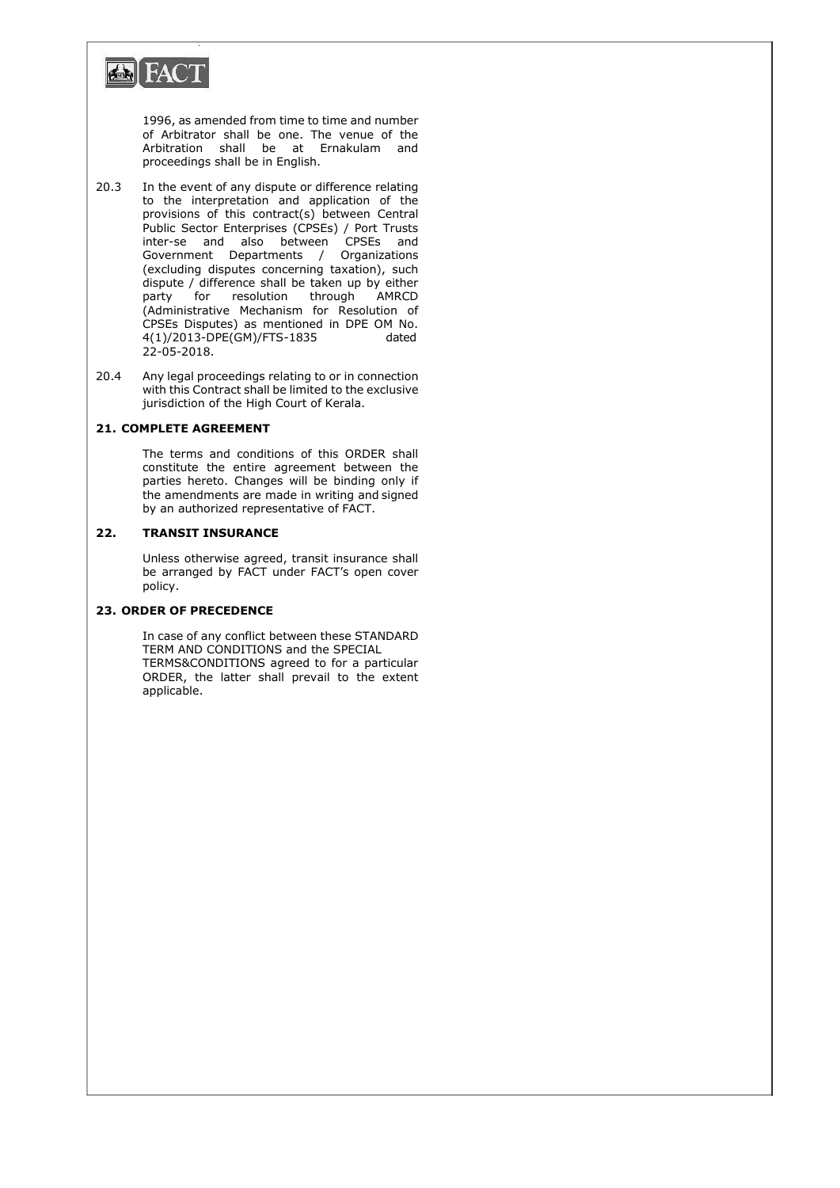

1996, as amended from time to time and number of Arbitrator shall be one. The venue of the Arbitration shall be at Ernakulam and proceedings shall be in English.

- 20.3 In the event of any dispute or difference relating to the interpretation and application of the provisions of this contract(s) between Central Public Sector Enterprises (CPSEs) / Port Trusts inter-se and also between CPSEs and Government Departments / Organizations (excluding disputes concerning taxation), such dispute / difference shall be taken up by either party for resolution through AMRCD (Administrative Mechanism for Resolution of CPSEs Disputes) as mentioned in DPE OM No.  $4(1)/2013$ -DPE(GM)/FTS-1835 22-05-2018.
- 20.4 Any legal proceedings relating to or in connection with this Contract shall be limited to the exclusive jurisdiction of the High Court of Kerala.

## **21. COMPLETE AGREEMENT**

The terms and conditions of this ORDER shall constitute the entire agreement between the parties hereto. Changes will be binding only if the amendments are made in writing and signed by an authorized representative of FACT.

#### **22. TRANSIT INSURANCE**

Unless otherwise agreed, transit insurance shall be arranged by FACT under FACT's open cover policy.

## **23. ORDER OF PRECEDENCE**

In case of any conflict between these STANDARD TERM AND CONDITIONS and the SPECIAL TERMS&CONDITIONS agreed to for a particular ORDER, the latter shall prevail to the extent applicable.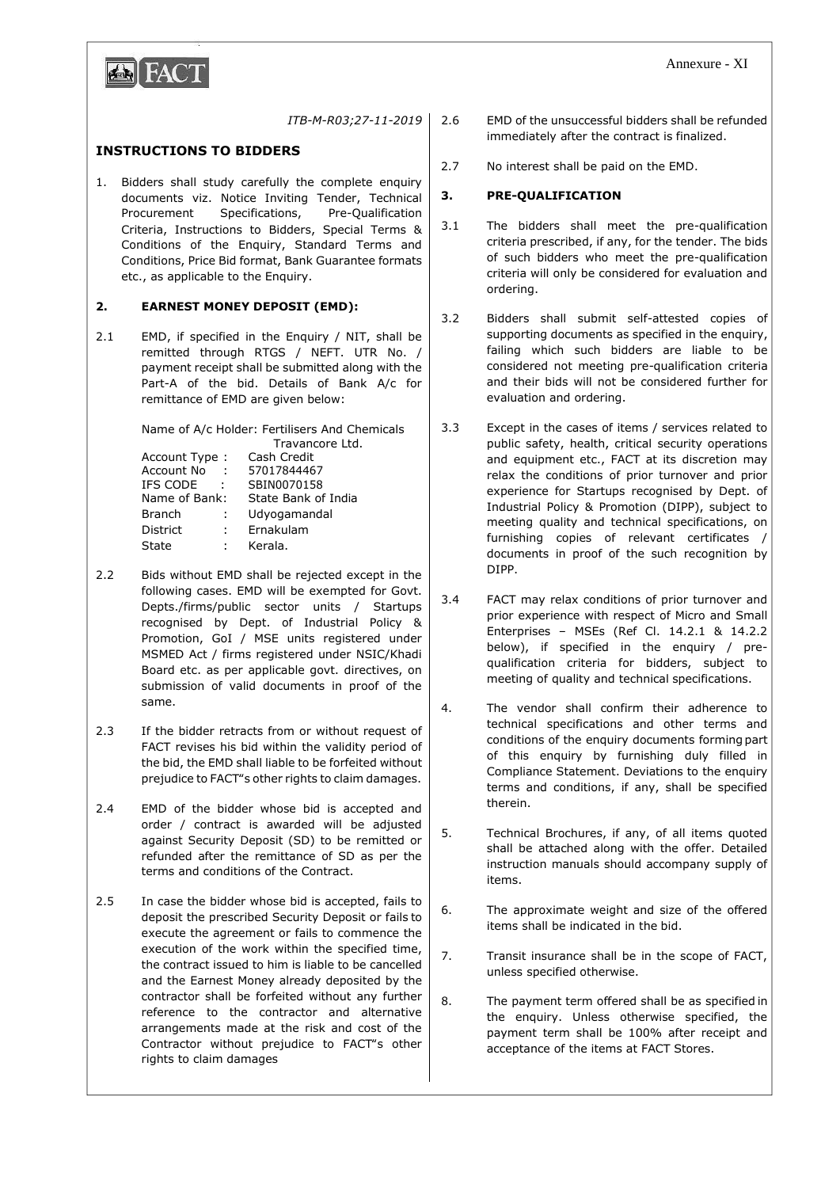

## *ITB-M-R03;27-11-2019*

# **INSTRUCTIONS TO BIDDERS**

1. Bidders shall study carefully the complete enquiry documents viz. Notice Inviting Tender, Technical Procurement Specifications, Pre-Qualification Criteria, Instructions to Bidders, Special Terms & Conditions of the Enquiry, Standard Terms and Conditions, Price Bid format, Bank Guarantee formats etc., as applicable to the Enquiry.

### **2. EARNEST MONEY DEPOSIT (EMD):**

2.1 EMD, if specified in the Enquiry / NIT, shall be remitted through RTGS / NEFT. UTR No. / payment receipt shall be submitted along with the Part-A of the bid. Details of Bank A/c for remittance of EMD are given below:

> Name of A/c Holder: Fertilisers And Chemicals Travancore Ltd.

| Account Type:   |           | Cash Credit         |
|-----------------|-----------|---------------------|
| Account No      | $\sim$ 10 | 57017844467         |
| IFS CODE        |           | SBIN0070158         |
| Name of Bank:   |           | State Bank of India |
| <b>Branch</b>   | ÷.        | Udyogamandal        |
| <b>District</b> | ÷.        | Ernakulam           |
| State           |           | Kerala.             |
|                 |           |                     |

- 2.2 Bids without EMD shall be rejected except in the following cases. EMD will be exempted for Govt. Depts./firms/public sector units / Startups recognised by Dept. of Industrial Policy & Promotion, GoI / MSE units registered under MSMED Act / firms registered under NSIC/Khadi Board etc. as per applicable govt. directives, on submission of valid documents in proof of the same.
- 2.3 If the bidder retracts from or without request of FACT revises his bid within the validity period of the bid, the EMD shall liable to be forfeited without prejudice to FACT"s other rights to claim damages.
- 2.4 EMD of the bidder whose bid is accepted and order / contract is awarded will be adjusted against Security Deposit (SD) to be remitted or refunded after the remittance of SD as per the terms and conditions of the Contract.
- 2.5 In case the bidder whose bid is accepted, fails to deposit the prescribed Security Deposit or fails to execute the agreement or fails to commence the execution of the work within the specified time, the contract issued to him is liable to be cancelled and the Earnest Money already deposited by the contractor shall be forfeited without any further reference to the contractor and alternative arrangements made at the risk and cost of the Contractor without prejudice to FACT"s other rights to claim damages
- 2.6 EMD of the unsuccessful bidders shall be refunded immediately after the contract is finalized.
- 2.7 No interest shall be paid on the EMD.

### **3. PRE-QUALIFICATION**

- 3.1 The bidders shall meet the pre-qualification criteria prescribed, if any, for the tender. The bids of such bidders who meet the pre-qualification criteria will only be considered for evaluation and ordering.
- 3.2 Bidders shall submit self-attested copies of supporting documents as specified in the enquiry, failing which such bidders are liable to be considered not meeting pre-qualification criteria and their bids will not be considered further for evaluation and ordering.
- 3.3 Except in the cases of items / services related to public safety, health, critical security operations and equipment etc., FACT at its discretion may relax the conditions of prior turnover and prior experience for Startups recognised by Dept. of Industrial Policy & Promotion (DIPP), subject to meeting quality and technical specifications, on furnishing copies of relevant certificates / documents in proof of the such recognition by DIPP.
- 3.4 FACT may relax conditions of prior turnover and prior experience with respect of Micro and Small Enterprises – MSEs (Ref Cl. 14.2.1 & 14.2.2 below), if specified in the enquiry / prequalification criteria for bidders, subject to meeting of quality and technical specifications.
- 4. The vendor shall confirm their adherence to technical specifications and other terms and conditions of the enquiry documents formingpart of this enquiry by furnishing duly filled in Compliance Statement. Deviations to the enquiry terms and conditions, if any, shall be specified therein.
- 5. Technical Brochures, if any, of all items quoted shall be attached along with the offer. Detailed instruction manuals should accompany supply of items.
- 6. The approximate weight and size of the offered items shall be indicated in the bid.
- 7. Transit insurance shall be in the scope of FACT, unless specified otherwise.
- 8. The payment term offered shall be as specified in the enquiry. Unless otherwise specified, the payment term shall be 100% after receipt and acceptance of the items at FACT Stores.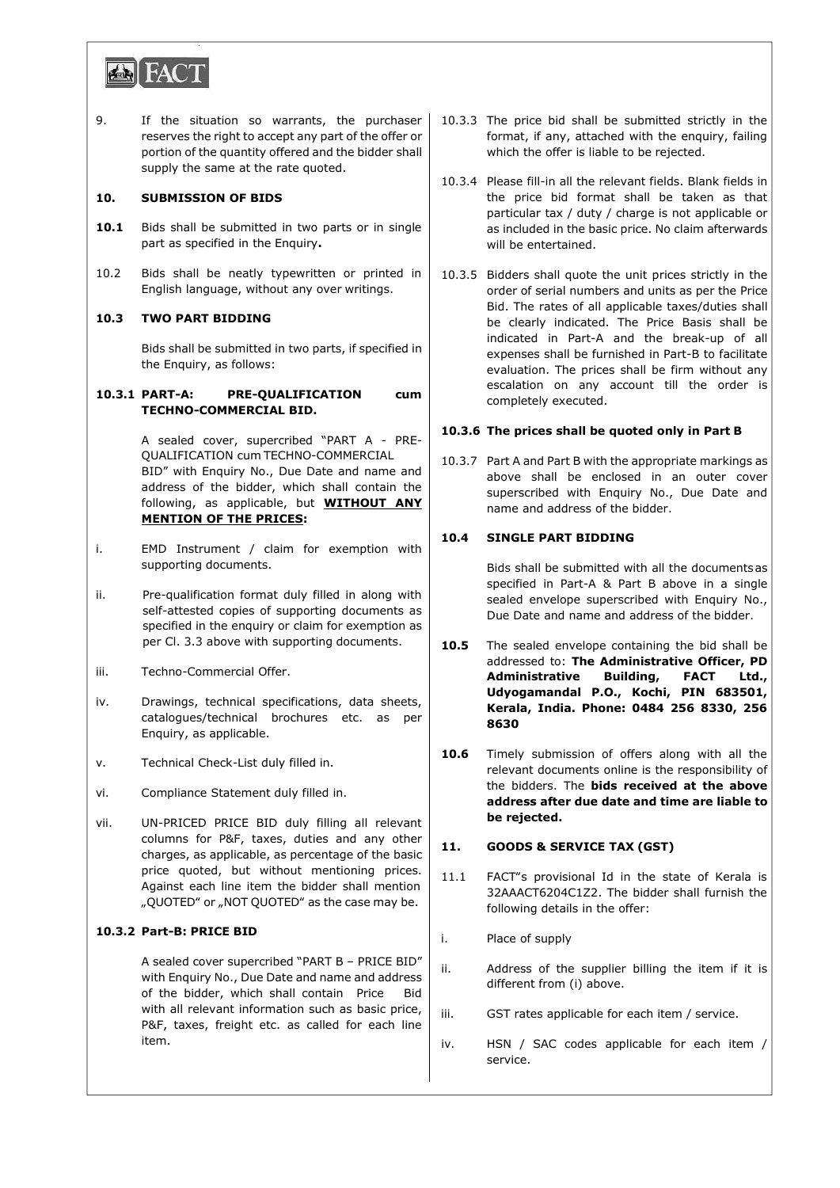

9. If the situation so warrants, the purchaser reserves the right to accept any part of the offer or portion of the quantity offered and the bidder shall supply the same at the rate quoted.

### **10. SUBMISSION OF BIDS**

- 10.1 Bids shall be submitted in two parts or in single part as specified in the Enquiry**.**
- 10.2 Bids shall be neatly typewritten or printed in English language, without any over writings.

### **10.3 TWO PART BIDDING**

Bids shall be submitted in two parts, if specified in the Enquiry, as follows:

#### **10.3.1 PART-A: PRE-QUALIFICATION cum TECHNO-COMMERCIAL BID.**

A sealed cover, supercribed "PART A - PRE-QUALIFICATION cum TECHNO-COMMERCIAL BID" with Enquiry No., Due Date and name and address of the bidder, which shall contain the following, as applicable, but **WITHOUT ANY MENTION OF THE PRICES:**

- i. EMD Instrument / claim for exemption with supporting documents.
- ii. Pre-qualification format duly filled in along with self-attested copies of supporting documents as specified in the enquiry or claim for exemption as per Cl. 3.3 above with supporting documents.
- iii. Techno-Commercial Offer.
- iv. Drawings, technical specifications, data sheets, catalogues/technical brochures etc. as per Enquiry, as applicable.
- v. Technical Check-List duly filled in.
- vi. Compliance Statement duly filled in.
- vii. UN-PRICED PRICE BID duly filling all relevant columns for P&F, taxes, duties and any other charges, as applicable, as percentage of the basic price quoted, but without mentioning prices. Against each line item the bidder shall mention "QUOTED" or "NOT QUOTED" as the case may be.

#### **10.3.2 Part-B: PRICE BID**

A sealed cover supercribed "PART B – PRICE BID" with Enquiry No., Due Date and name and address of the bidder, which shall contain Price Bid with all relevant information such as basic price, P&F, taxes, freight etc. as called for each line item.

- 10.3.3 The price bid shall be submitted strictly in the format, if any, attached with the enquiry, failing which the offer is liable to be rejected.
- 10.3.4 Please fill-in all the relevant fields. Blank fields in the price bid format shall be taken as that particular tax / duty / charge is not applicable or as included in the basic price. No claim afterwards will be entertained.
- 10.3.5 Bidders shall quote the unit prices strictly in the order of serial numbers and units as per the Price Bid. The rates of all applicable taxes/duties shall be clearly indicated. The Price Basis shall be indicated in Part-A and the break-up of all expenses shall be furnished in Part-B to facilitate evaluation. The prices shall be firm without any escalation on any account till the order is completely executed.

## **10.3.6 The prices shall be quoted only in Part B**

10.3.7 Part A and Part B with the appropriate markings as above shall be enclosed in an outer cover superscribed with Enquiry No., Due Date and name and address of the bidder.

## **10.4 SINGLE PART BIDDING**

Bids shall be submitted with all the documentsas specified in Part-A & Part B above in a single sealed envelope superscribed with Enquiry No., Due Date and name and address of the bidder.

- **10.5** The sealed envelope containing the bid shall be addressed to: **The Administrative Officer, PD Administrative Building, FACT Ltd., Udyogamandal P.O., Kochi, PIN 683501, Kerala, India. Phone: 0484 256 8330, 256 8630**
- **10.6** Timely submission of offers along with all the relevant documents online is the responsibility of the bidders. The **bids received at the above address after due date and time are liable to be rejected.**

## **11. GOODS & SERVICE TAX (GST)**

- 11.1 FACT"s provisional Id in the state of Kerala is 32AAACT6204C1Z2. The bidder shall furnish the following details in the offer:
- i. Place of supply
- ii. Address of the supplier billing the item if it is different from (i) above.
- iii. GST rates applicable for each item / service.
- iv. HSN / SAC codes applicable for each item / service.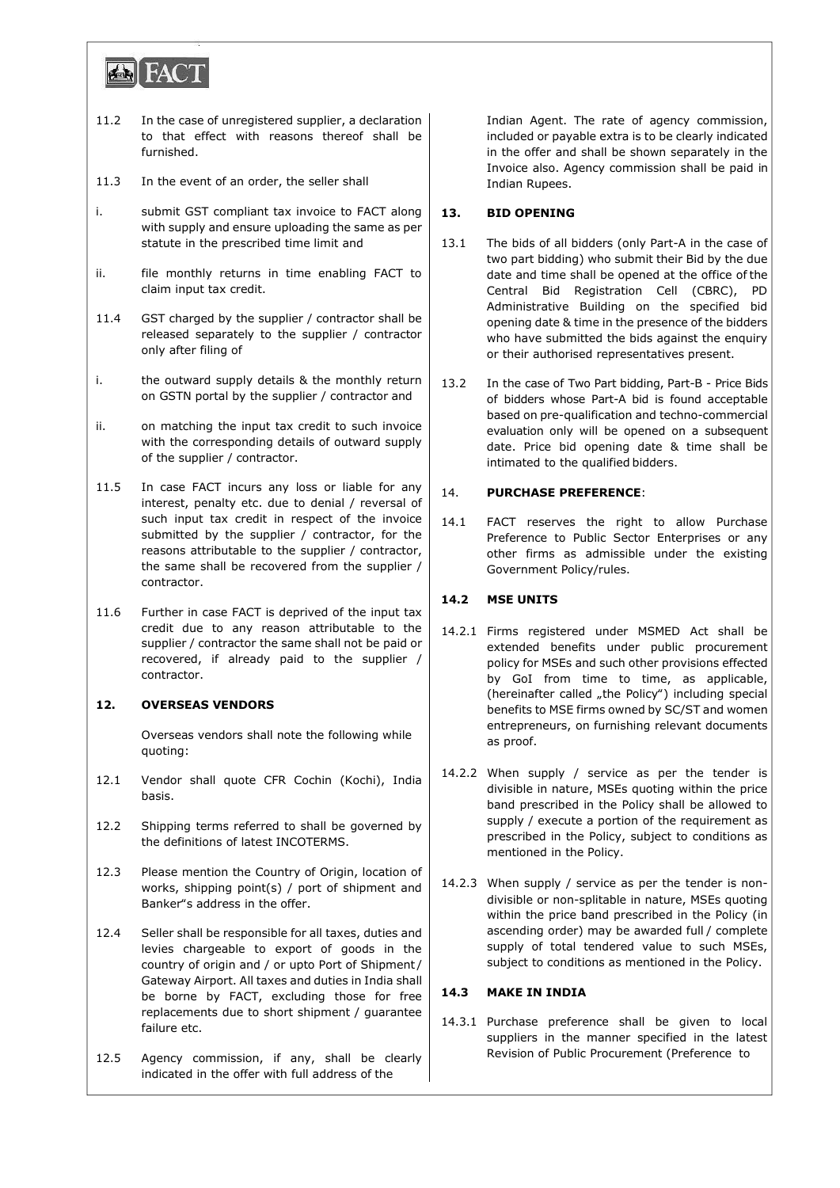

- 11.2 In the case of unregistered supplier, a declaration to that effect with reasons thereof shall be furnished.
- 11.3 In the event of an order, the seller shall
- i. submit GST compliant tax invoice to FACT along with supply and ensure uploading the same as per statute in the prescribed time limit and
- ii. file monthly returns in time enabling FACT to claim input tax credit.
- 11.4 GST charged by the supplier / contractor shall be released separately to the supplier / contractor only after filing of
- i. the outward supply details & the monthly return on GSTN portal by the supplier / contractor and
- ii. on matching the input tax credit to such invoice with the corresponding details of outward supply of the supplier / contractor.
- 11.5 In case FACT incurs any loss or liable for any interest, penalty etc. due to denial / reversal of such input tax credit in respect of the invoice submitted by the supplier / contractor, for the reasons attributable to the supplier / contractor, the same shall be recovered from the supplier / contractor.
- 11.6 Further in case FACT is deprived of the input tax credit due to any reason attributable to the supplier / contractor the same shall not be paid or recovered, if already paid to the supplier / contractor.

## **12. OVERSEAS VENDORS**

Overseas vendors shall note the following while quoting:

- 12.1 Vendor shall quote CFR Cochin (Kochi), India basis.
- 12.2 Shipping terms referred to shall be governed by the definitions of latest INCOTERMS.
- 12.3 Please mention the Country of Origin, location of works, shipping point(s) / port of shipment and Banker"s address in the offer.
- 12.4 Seller shall be responsible for all taxes, duties and levies chargeable to export of goods in the country of origin and / or upto Port of Shipment / Gateway Airport. All taxes and duties in India shall be borne by FACT, excluding those for free replacements due to short shipment / guarantee failure etc.
- 12.5 Agency commission, if any, shall be clearly indicated in the offer with full address of the

Indian Agent. The rate of agency commission, included or payable extra is to be clearly indicated in the offer and shall be shown separately in the Invoice also. Agency commission shall be paid in Indian Rupees.

## **13. BID OPENING**

- 13.1 The bids of all bidders (only Part-A in the case of two part bidding) who submit their Bid by the due date and time shall be opened at the office of the Central Bid Registration Cell (CBRC), PD Administrative Building on the specified bid opening date & time in the presence of the bidders who have submitted the bids against the enquiry or their authorised representatives present.
- 13.2 In the case of Two Part bidding, Part-B Price Bids of bidders whose Part-A bid is found acceptable based on pre-qualification and techno-commercial evaluation only will be opened on a subsequent date. Price bid opening date & time shall be intimated to the qualified bidders.

# 14. **PURCHASE PREFERENCE**:

14.1 FACT reserves the right to allow Purchase Preference to Public Sector Enterprises or any other firms as admissible under the existing Government Policy/rules.

# **14.2 MSE UNITS**

- 14.2.1 Firms registered under MSMED Act shall be extended benefits under public procurement policy for MSEs and such other provisions effected by GoI from time to time, as applicable, (hereinafter called "the Policy") including special benefits to MSE firms owned by SC/ST and women entrepreneurs, on furnishing relevant documents as proof.
- 14.2.2 When supply / service as per the tender is divisible in nature, MSEs quoting within the price band prescribed in the Policy shall be allowed to supply / execute a portion of the requirement as prescribed in the Policy, subject to conditions as mentioned in the Policy.
- 14.2.3 When supply / service as per the tender is nondivisible or non-splitable in nature, MSEs quoting within the price band prescribed in the Policy (in ascending order) may be awarded full / complete supply of total tendered value to such MSEs, subject to conditions as mentioned in the Policy.

## **14.3 MAKE IN INDIA**

14.3.1 Purchase preference shall be given to local suppliers in the manner specified in the latest Revision of Public Procurement (Preference to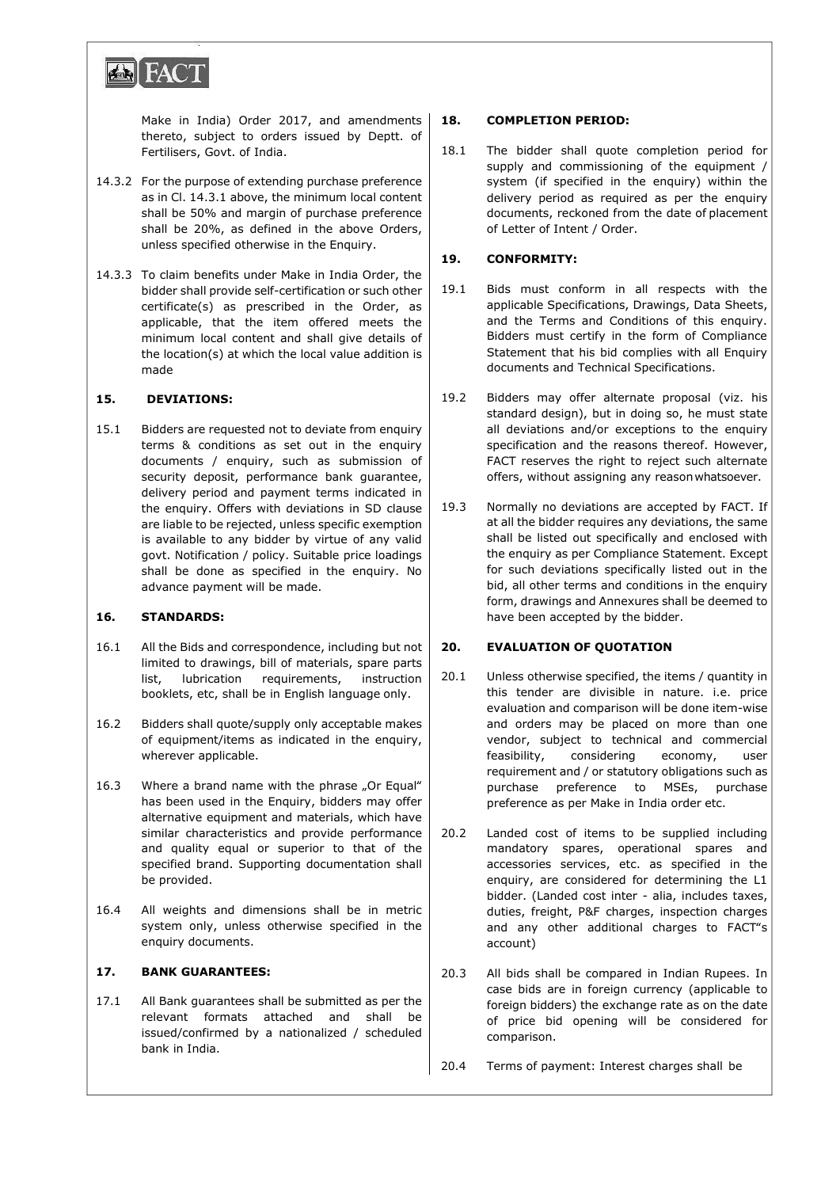

Make in India) Order 2017, and amendments thereto, subject to orders issued by Deptt. of Fertilisers, Govt. of India.

- 14.3.2 For the purpose of extending purchase preference as in Cl. 14.3.1 above, the minimum local content shall be 50% and margin of purchase preference shall be 20%, as defined in the above Orders, unless specified otherwise in the Enquiry.
- 14.3.3 To claim benefits under Make in India Order, the bidder shall provide self-certification or such other certificate(s) as prescribed in the Order, as applicable, that the item offered meets the minimum local content and shall give details of the location(s) at which the local value addition is made

### **15. DEVIATIONS:**

15.1 Bidders are requested not to deviate from enquiry terms & conditions as set out in the enquiry documents / enquiry, such as submission of security deposit, performance bank guarantee, delivery period and payment terms indicated in the enquiry. Offers with deviations in SD clause are liable to be rejected, unless specific exemption is available to any bidder by virtue of any valid govt. Notification / policy. Suitable price loadings shall be done as specified in the enquiry. No advance payment will be made.

### **16. STANDARDS:**

- 16.1 All the Bids and correspondence, including but not limited to drawings, bill of materials, spare parts list, lubrication requirements, instruction booklets, etc, shall be in English language only.
- 16.2 Bidders shall quote/supply only acceptable makes of equipment/items as indicated in the enquiry, wherever applicable.
- 16.3 Where a brand name with the phrase "Or Equal" has been used in the Enquiry, bidders may offer alternative equipment and materials, which have similar characteristics and provide performance and quality equal or superior to that of the specified brand. Supporting documentation shall be provided.
- 16.4 All weights and dimensions shall be in metric system only, unless otherwise specified in the enquiry documents.

## **17. BANK GUARANTEES:**

17.1 All Bank guarantees shall be submitted as per the relevant formats attached and shall be issued/confirmed by a nationalized / scheduled bank in India.

## **18. COMPLETION PERIOD:**

18.1 The bidder shall quote completion period for supply and commissioning of the equipment / system (if specified in the enquiry) within the delivery period as required as per the enquiry documents, reckoned from the date of placement of Letter of Intent / Order.

### **19. CONFORMITY:**

- 19.1 Bids must conform in all respects with the applicable Specifications, Drawings, Data Sheets, and the Terms and Conditions of this enquiry. Bidders must certify in the form of Compliance Statement that his bid complies with all Enquiry documents and Technical Specifications.
- 19.2 Bidders may offer alternate proposal (viz. his standard design), but in doing so, he must state all deviations and/or exceptions to the enquiry specification and the reasons thereof. However, FACT reserves the right to reject such alternate offers, without assigning any reasonwhatsoever.
- 19.3 Normally no deviations are accepted by FACT. If at all the bidder requires any deviations, the same shall be listed out specifically and enclosed with the enquiry as per Compliance Statement. Except for such deviations specifically listed out in the bid, all other terms and conditions in the enquiry form, drawings and Annexures shall be deemed to have been accepted by the bidder.

#### **20. EVALUATION OF QUOTATION**

- 20.1 Unless otherwise specified, the items / quantity in this tender are divisible in nature. i.e. price evaluation and comparison will be done item-wise and orders may be placed on more than one vendor, subject to technical and commercial feasibility, considering economy, user requirement and / or statutory obligations such as purchase preference to MSEs, purchase preference as per Make in India order etc.
- 20.2 Landed cost of items to be supplied including mandatory spares, operational spares and accessories services, etc. as specified in the enquiry, are considered for determining the L1 bidder. (Landed cost inter - alia, includes taxes, duties, freight, P&F charges, inspection charges and any other additional charges to FACT"s account)
- 20.3 All bids shall be compared in Indian Rupees. In case bids are in foreign currency (applicable to foreign bidders) the exchange rate as on the date of price bid opening will be considered for comparison.
- 20.4 Terms of payment: Interest charges shall be